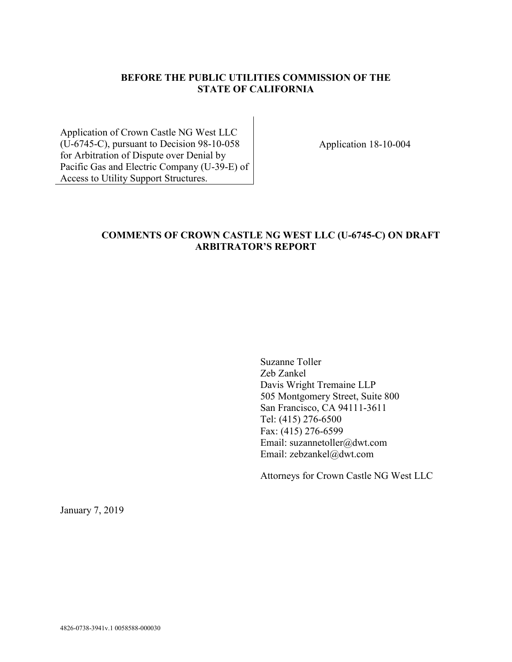# **BEFORE THE PUBLIC UTILITIES COMMISSION OF THE STATE OF CALIFORNIA**

Application of Crown Castle NG West LLC (U-6745-C), pursuant to Decision 98-10-058 for Arbitration of Dispute over Denial by Pacific Gas and Electric Company (U-39-E) of Access to Utility Support Structures.

Application 18-10-004

### **COMMENTS OF CROWN CASTLE NG WEST LLC (U-6745-C) ON DRAFT ARBITRATOR'S REPORT**

Suzanne Toller Zeb Zankel Davis Wright Tremaine LLP 505 Montgomery Street, Suite 800 San Francisco, CA 94111-3611 Tel: (415) 276-6500 Fax: (415) 276-6599 Email: suzannetoller@dwt.com Email: zebzankel@dwt.com

Attorneys for Crown Castle NG West LLC

January 7, 2019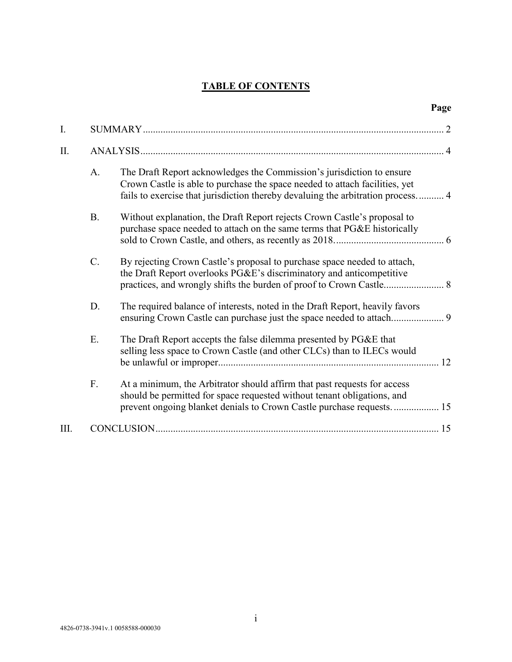# **TABLE OF CONTENTS**

|      |           |                                                                                                                                                                                                                                         | Page |
|------|-----------|-----------------------------------------------------------------------------------------------------------------------------------------------------------------------------------------------------------------------------------------|------|
| I.   |           |                                                                                                                                                                                                                                         |      |
| II.  |           |                                                                                                                                                                                                                                         |      |
|      | A.        | The Draft Report acknowledges the Commission's jurisdiction to ensure<br>Crown Castle is able to purchase the space needed to attach facilities, yet<br>fails to exercise that jurisdiction thereby devaluing the arbitration process 4 |      |
|      | <b>B.</b> | Without explanation, the Draft Report rejects Crown Castle's proposal to<br>purchase space needed to attach on the same terms that PG&E historically                                                                                    |      |
|      | C.        | By rejecting Crown Castle's proposal to purchase space needed to attach,<br>the Draft Report overlooks PG&E's discriminatory and anticompetitive<br>practices, and wrongly shifts the burden of proof to Crown Castle 8                 |      |
|      | D.        | The required balance of interests, noted in the Draft Report, heavily favors                                                                                                                                                            |      |
|      | E.        | The Draft Report accepts the false dilemma presented by PG&E that<br>selling less space to Crown Castle (and other CLCs) than to ILECs would                                                                                            |      |
|      | F.        | At a minimum, the Arbitrator should affirm that past requests for access<br>should be permitted for space requested without tenant obligations, and<br>prevent ongoing blanket denials to Crown Castle purchase requests 15             |      |
| III. |           |                                                                                                                                                                                                                                         |      |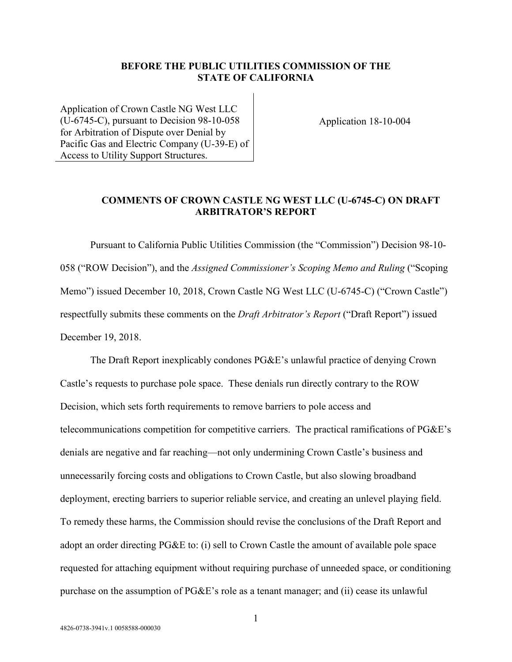#### **BEFORE THE PUBLIC UTILITIES COMMISSION OF THE STATE OF CALIFORNIA**

Application of Crown Castle NG West LLC (U-6745-C), pursuant to Decision 98-10-058 for Arbitration of Dispute over Denial by Pacific Gas and Electric Company (U-39-E) of Access to Utility Support Structures.

Application 18-10-004

### **COMMENTS OF CROWN CASTLE NG WEST LLC (U-6745-C) ON DRAFT ARBITRATOR'S REPORT**

Pursuant to California Public Utilities Commission (the "Commission") Decision 98-10- 058 ("ROW Decision"), and the *Assigned Commissioner's Scoping Memo and Ruling* ("Scoping Memo") issued December 10, 2018, Crown Castle NG West LLC (U-6745-C) ("Crown Castle") respectfully submits these comments on the *Draft Arbitrator's Report* ("Draft Report") issued December 19, 2018.

The Draft Report inexplicably condones PG&E's unlawful practice of denying Crown Castle's requests to purchase pole space. These denials run directly contrary to the ROW Decision, which sets forth requirements to remove barriers to pole access and telecommunications competition for competitive carriers. The practical ramifications of PG&E's denials are negative and far reaching—not only undermining Crown Castle's business and unnecessarily forcing costs and obligations to Crown Castle, but also slowing broadband deployment, erecting barriers to superior reliable service, and creating an unlevel playing field. To remedy these harms, the Commission should revise the conclusions of the Draft Report and adopt an order directing PG&E to: (i) sell to Crown Castle the amount of available pole space requested for attaching equipment without requiring purchase of unneeded space, or conditioning purchase on the assumption of PG&E's role as a tenant manager; and (ii) cease its unlawful

1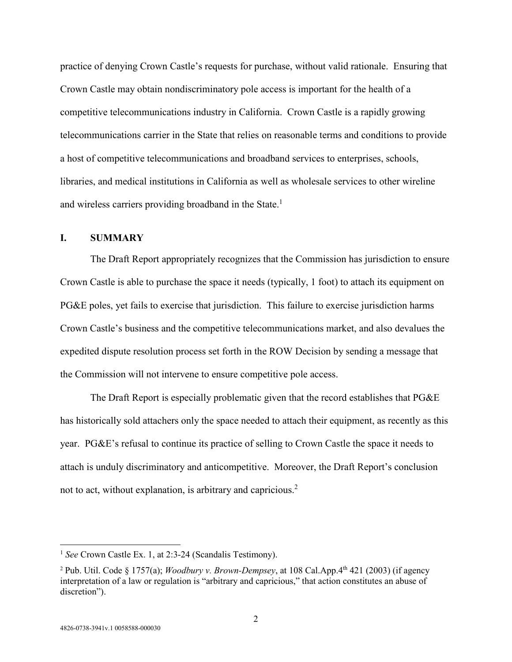practice of denying Crown Castle's requests for purchase, without valid rationale. Ensuring that Crown Castle may obtain nondiscriminatory pole access is important for the health of a competitive telecommunications industry in California. Crown Castle is a rapidly growing telecommunications carrier in the State that relies on reasonable terms and conditions to provide a host of competitive telecommunications and broadband services to enterprises, schools, libraries, and medical institutions in California as well as wholesale services to other wireline and wireless carriers providing broadband in the State.<sup>1</sup>

#### **I. SUMMARY**

The Draft Report appropriately recognizes that the Commission has jurisdiction to ensure Crown Castle is able to purchase the space it needs (typically, 1 foot) to attach its equipment on PG&E poles, yet fails to exercise that jurisdiction. This failure to exercise jurisdiction harms Crown Castle's business and the competitive telecommunications market, and also devalues the expedited dispute resolution process set forth in the ROW Decision by sending a message that the Commission will not intervene to ensure competitive pole access.

The Draft Report is especially problematic given that the record establishes that PG&E has historically sold attachers only the space needed to attach their equipment, as recently as this year. PG&E's refusal to continue its practice of selling to Crown Castle the space it needs to attach is unduly discriminatory and anticompetitive. Moreover, the Draft Report's conclusion not to act, without explanation, is arbitrary and capricious.<sup>2</sup>

<sup>&</sup>lt;sup>1</sup> See Crown Castle Ex. 1, at 2:3-24 (Scandalis Testimony).

<sup>&</sup>lt;sup>2</sup> Pub. Util. Code § 1757(a); *Woodbury v. Brown-Dempsey*, at 108 Cal.App.4<sup>th</sup> 421 (2003) (if agency interpretation of a law or regulation is "arbitrary and capricious," that action constitutes an abuse of discretion").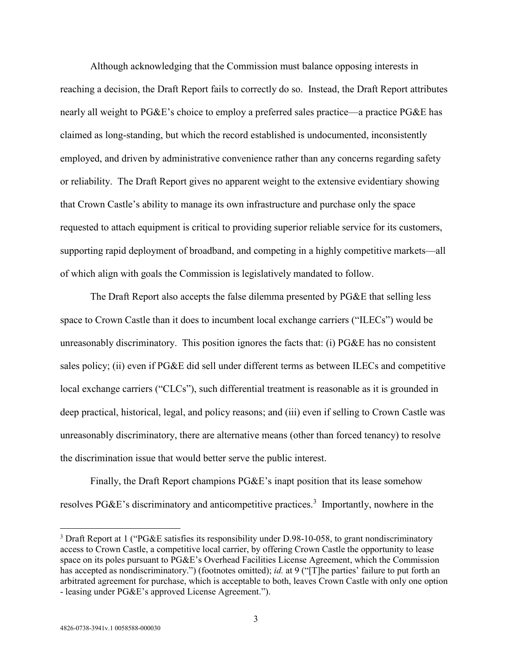Although acknowledging that the Commission must balance opposing interests in reaching a decision, the Draft Report fails to correctly do so. Instead, the Draft Report attributes nearly all weight to PG&E's choice to employ a preferred sales practice—a practice PG&E has claimed as long-standing, but which the record established is undocumented, inconsistently employed, and driven by administrative convenience rather than any concerns regarding safety or reliability. The Draft Report gives no apparent weight to the extensive evidentiary showing that Crown Castle's ability to manage its own infrastructure and purchase only the space requested to attach equipment is critical to providing superior reliable service for its customers, supporting rapid deployment of broadband, and competing in a highly competitive markets—all of which align with goals the Commission is legislatively mandated to follow.

The Draft Report also accepts the false dilemma presented by PG&E that selling less space to Crown Castle than it does to incumbent local exchange carriers ("ILECs") would be unreasonably discriminatory. This position ignores the facts that: (i) PG&E has no consistent sales policy; (ii) even if PG&E did sell under different terms as between ILECs and competitive local exchange carriers ("CLCs"), such differential treatment is reasonable as it is grounded in deep practical, historical, legal, and policy reasons; and (iii) even if selling to Crown Castle was unreasonably discriminatory, there are alternative means (other than forced tenancy) to resolve the discrimination issue that would better serve the public interest.

Finally, the Draft Report champions PG&E's inapt position that its lease somehow resolves PG&E's discriminatory and anticompetitive practices.<sup>3</sup> Importantly, nowhere in the

<sup>&</sup>lt;sup>3</sup> Draft Report at 1 ("PG&E satisfies its responsibility under D.98-10-058, to grant nondiscriminatory access to Crown Castle, a competitive local carrier, by offering Crown Castle the opportunity to lease space on its poles pursuant to PG&E's Overhead Facilities License Agreement, which the Commission has accepted as nondiscriminatory.") (footnotes omitted); *id.* at 9 ("[T]he parties' failure to put forth an arbitrated agreement for purchase, which is acceptable to both, leaves Crown Castle with only one option - leasing under PG&E's approved License Agreement.").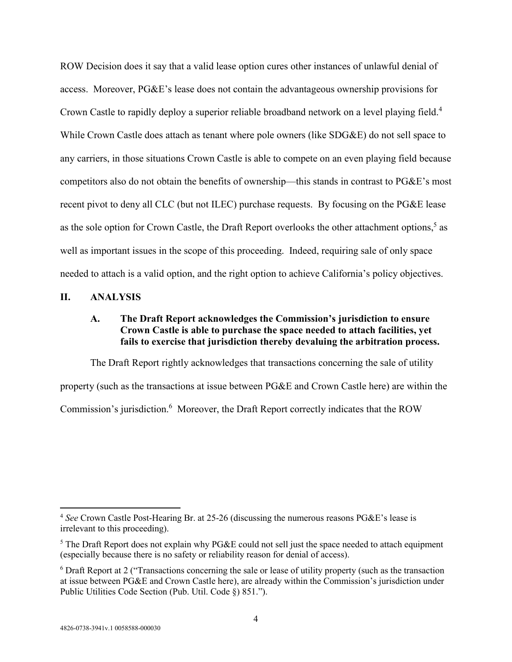ROW Decision does it say that a valid lease option cures other instances of unlawful denial of access. Moreover, PG&E's lease does not contain the advantageous ownership provisions for Crown Castle to rapidly deploy a superior reliable broadband network on a level playing field.<sup>4</sup> While Crown Castle does attach as tenant where pole owners (like SDG&E) do not sell space to any carriers, in those situations Crown Castle is able to compete on an even playing field because competitors also do not obtain the benefits of ownership—this stands in contrast to PG&E's most recent pivot to deny all CLC (but not ILEC) purchase requests. By focusing on the PG&E lease as the sole option for Crown Castle, the Draft Report overlooks the other attachment options,<sup>5</sup> as well as important issues in the scope of this proceeding. Indeed, requiring sale of only space needed to attach is a valid option, and the right option to achieve California's policy objectives.

#### **II. ANALYSIS**

### **A. The Draft Report acknowledges the Commission's jurisdiction to ensure Crown Castle is able to purchase the space needed to attach facilities, yet fails to exercise that jurisdiction thereby devaluing the arbitration process.**

The Draft Report rightly acknowledges that transactions concerning the sale of utility property (such as the transactions at issue between PG&E and Crown Castle here) are within the Commission's jurisdiction.<sup>6</sup> Moreover, the Draft Report correctly indicates that the ROW

<sup>4</sup> *See* Crown Castle Post-Hearing Br. at 25-26 (discussing the numerous reasons PG&E's lease is irrelevant to this proceeding).

 $<sup>5</sup>$  The Draft Report does not explain why PG&E could not sell just the space needed to attach equipment</sup> (especially because there is no safety or reliability reason for denial of access).

<sup>&</sup>lt;sup>6</sup> Draft Report at 2 ("Transactions concerning the sale or lease of utility property (such as the transaction at issue between PG&E and Crown Castle here), are already within the Commission's jurisdiction under Public Utilities Code Section (Pub. Util. Code §) 851.").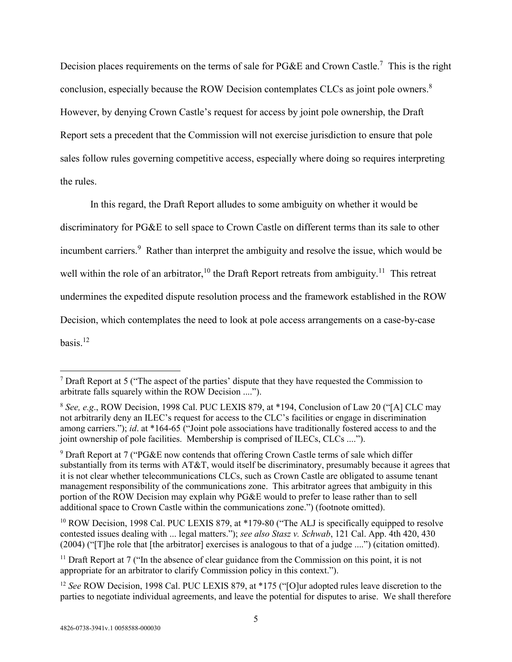Decision places requirements on the terms of sale for PG&E and Crown Castle.<sup>7</sup> This is the right conclusion, especially because the ROW Decision contemplates CLCs as joint pole owners.<sup>8</sup> However, by denying Crown Castle's request for access by joint pole ownership, the Draft Report sets a precedent that the Commission will not exercise jurisdiction to ensure that pole sales follow rules governing competitive access, especially where doing so requires interpreting the rules.

In this regard, the Draft Report alludes to some ambiguity on whether it would be discriminatory for PG&E to sell space to Crown Castle on different terms than its sale to other incumbent carriers.<sup>9</sup> Rather than interpret the ambiguity and resolve the issue, which would be well within the role of an arbitrator,<sup>10</sup> the Draft Report retreats from ambiguity.<sup>11</sup> This retreat undermines the expedited dispute resolution process and the framework established in the ROW Decision, which contemplates the need to look at pole access arrangements on a case-by-case basis.<sup>12</sup>

<sup>10</sup> ROW Decision, 1998 Cal. PUC LEXIS 879, at \*179-80 ("The ALJ is specifically equipped to resolve contested issues dealing with ... legal matters."); *see also Stasz v. Schwab*, 121 Cal. App. 4th 420, 430 (2004) ("[T]he role that [the arbitrator] exercises is analogous to that of a judge ....") (citation omitted).

<sup>&</sup>lt;sup>7</sup> Draft Report at 5 ("The aspect of the parties' dispute that they have requested the Commission to arbitrate falls squarely within the ROW Decision ....").

<sup>8</sup> *See, e.g*., ROW Decision, 1998 Cal. PUC LEXIS 879, at \*194, Conclusion of Law 20 ("[A] CLC may not arbitrarily deny an ILEC's request for access to the CLC's facilities or engage in discrimination among carriers."); *id*. at \*164-65 ("Joint pole associations have traditionally fostered access to and the joint ownership of pole facilities. Membership is comprised of ILECs, CLCs ....").

<sup>&</sup>lt;sup>9</sup> Draft Report at 7 ("PG&E now contends that offering Crown Castle terms of sale which differ substantially from its terms with AT&T, would itself be discriminatory, presumably because it agrees that it is not clear whether telecommunications CLCs, such as Crown Castle are obligated to assume tenant management responsibility of the communications zone. This arbitrator agrees that ambiguity in this portion of the ROW Decision may explain why PG&E would to prefer to lease rather than to sell additional space to Crown Castle within the communications zone.") (footnote omitted).

 $11$  Draft Report at 7 ("In the absence of clear guidance from the Commission on this point, it is not appropriate for an arbitrator to clarify Commission policy in this context.").

<sup>&</sup>lt;sup>12</sup> *See* ROW Decision, 1998 Cal. PUC LEXIS 879, at \*175 ("[O]ur adopted rules leave discretion to the parties to negotiate individual agreements, and leave the potential for disputes to arise. We shall therefore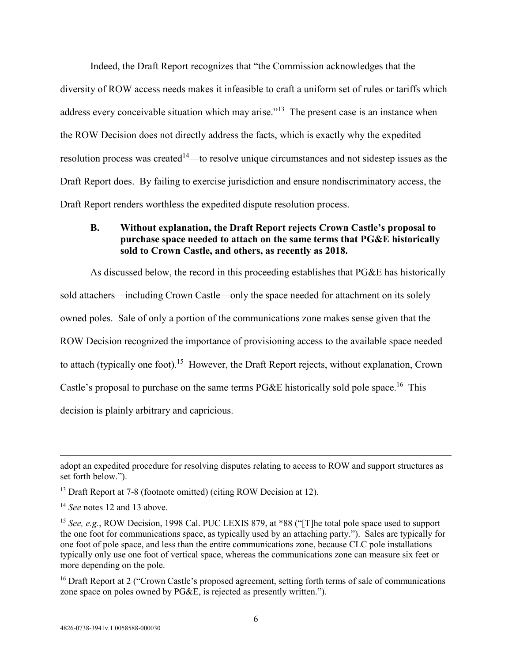Indeed, the Draft Report recognizes that "the Commission acknowledges that the diversity of ROW access needs makes it infeasible to craft a uniform set of rules or tariffs which address every conceivable situation which may arise."<sup>13</sup> The present case is an instance when the ROW Decision does not directly address the facts, which is exactly why the expedited resolution process was created<sup>14</sup>—to resolve unique circumstances and not sidestep issues as the Draft Report does. By failing to exercise jurisdiction and ensure nondiscriminatory access, the Draft Report renders worthless the expedited dispute resolution process.

# **B. Without explanation, the Draft Report rejects Crown Castle's proposal to purchase space needed to attach on the same terms that PG&E historically sold to Crown Castle, and others, as recently as 2018.**

As discussed below, the record in this proceeding establishes that PG&E has historically sold attachers—including Crown Castle—only the space needed for attachment on its solely owned poles. Sale of only a portion of the communications zone makes sense given that the ROW Decision recognized the importance of provisioning access to the available space needed to attach (typically one foot).<sup>15</sup> However, the Draft Report rejects, without explanation, Crown Castle's proposal to purchase on the same terms PG&E historically sold pole space.<sup>16</sup> This decision is plainly arbitrary and capricious.

adopt an expedited procedure for resolving disputes relating to access to ROW and support structures as set forth below.").

<sup>&</sup>lt;sup>13</sup> Draft Report at 7-8 (footnote omitted) (citing ROW Decision at 12).

<sup>&</sup>lt;sup>14</sup> *See* notes 12 and 13 above.

<sup>&</sup>lt;sup>15</sup> See, e.g., ROW Decision, 1998 Cal. PUC LEXIS 879, at \*88 ("The total pole space used to support the one foot for communications space, as typically used by an attaching party."). Sales are typically for one foot of pole space, and less than the entire communications zone, because CLC pole installations typically only use one foot of vertical space, whereas the communications zone can measure six feet or more depending on the pole.

<sup>&</sup>lt;sup>16</sup> Draft Report at 2 ("Crown Castle's proposed agreement, setting forth terms of sale of communications zone space on poles owned by PG&E, is rejected as presently written.").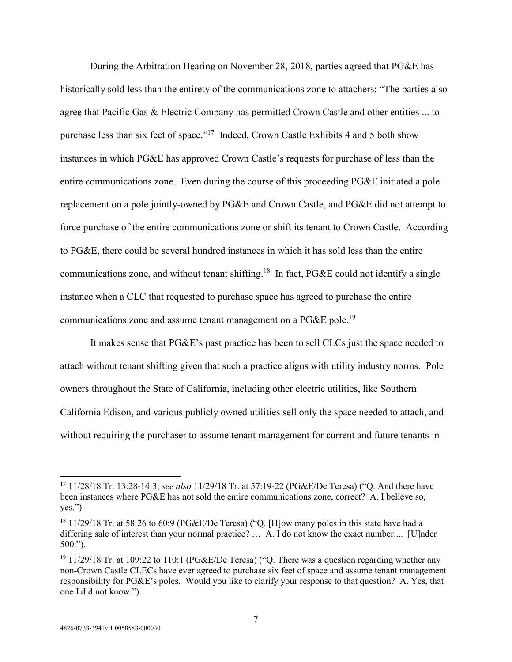During the Arbitration Hearing on November 28, 2018, parties agreed that PG&E has historically sold less than the entirety of the communications zone to attachers: "The parties also agree that Pacific Gas & Electric Company has permitted Crown Castle and other entities ... to purchase less than six feet of space."<sup>17</sup> Indeed, Crown Castle Exhibits 4 and 5 both show instances in which PG&E has approved Crown Castle's requests for purchase of less than the entire communications zone. Even during the course of this proceeding PG&E initiated a pole replacement on a pole jointly-owned by PG&E and Crown Castle, and PG&E did not attempt to force purchase of the entire communications zone or shift its tenant to Crown Castle. According to PG&E, there could be several hundred instances in which it has sold less than the entire communications zone, and without tenant shifting.<sup>18</sup> In fact, PG&E could not identify a single instance when a CLC that requested to purchase space has agreed to purchase the entire communications zone and assume tenant management on a PG&E pole.<sup>19</sup>

It makes sense that PG&E's past practice has been to sell CLCs just the space needed to attach without tenant shifting given that such a practice aligns with utility industry norms. Pole owners throughout the State of California, including other electric utilities, like Southern California Edison, and various publicly owned utilities sell only the space needed to attach, and without requiring the purchaser to assume tenant management for current and future tenants in

<sup>17</sup> 11/28/18 Tr. 13:28-14:3; *see also* 11/29/18 Tr. at 57:19-22 (PG&E/De Teresa) ("Q. And there have been instances where PG&E has not sold the entire communications zone, correct? A. I believe so, yes.").

<sup>&</sup>lt;sup>18</sup> 11/29/18 Tr. at 58:26 to 60:9 (PG&E/De Teresa) ("Q. [H]ow many poles in this state have had a differing sale of interest than your normal practice? … A. I do not know the exact number.... [U]nder 500.").

<sup>&</sup>lt;sup>19</sup> 11/29/18 Tr. at 109:22 to 110:1 (PG&E/De Teresa) ("Q. There was a question regarding whether any non-Crown Castle CLECs have ever agreed to purchase six feet of space and assume tenant management responsibility for PG&E's poles. Would you like to clarify your response to that question? A. Yes, that one I did not know.").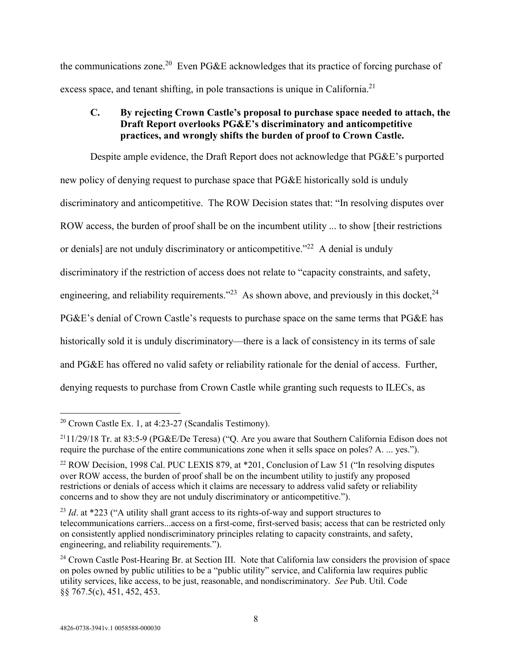the communications zone.<sup>20</sup> Even PG&E acknowledges that its practice of forcing purchase of excess space, and tenant shifting, in pole transactions is unique in California.<sup>21</sup>

# **C. By rejecting Crown Castle's proposal to purchase space needed to attach, the Draft Report overlooks PG&E's discriminatory and anticompetitive practices, and wrongly shifts the burden of proof to Crown Castle.**

Despite ample evidence, the Draft Report does not acknowledge that PG&E's purported new policy of denying request to purchase space that PG&E historically sold is unduly discriminatory and anticompetitive. The ROW Decision states that: "In resolving disputes over ROW access, the burden of proof shall be on the incumbent utility ... to show [their restrictions or denials] are not unduly discriminatory or anticompetitive."<sup>22</sup> A denial is unduly discriminatory if the restriction of access does not relate to "capacity constraints, and safety, engineering, and reliability requirements."<sup>23</sup> As shown above, and previously in this docket,  $24$ PG&E's denial of Crown Castle's requests to purchase space on the same terms that PG&E has historically sold it is unduly discriminatory—there is a lack of consistency in its terms of sale and PG&E has offered no valid safety or reliability rationale for the denial of access. Further, denying requests to purchase from Crown Castle while granting such requests to ILECs, as

 $20$  Crown Castle Ex. 1, at 4:23-27 (Scandalis Testimony).

<sup>21</sup>11/29/18 Tr. at 83:5-9 (PG&E/De Teresa) ("Q. Are you aware that Southern California Edison does not require the purchase of the entire communications zone when it sells space on poles? A. ... yes.").

<sup>&</sup>lt;sup>22</sup> ROW Decision, 1998 Cal. PUC LEXIS 879, at \*201, Conclusion of Law 51 ("In resolving disputes over ROW access, the burden of proof shall be on the incumbent utility to justify any proposed restrictions or denials of access which it claims are necessary to address valid safety or reliability concerns and to show they are not unduly discriminatory or anticompetitive.").

<sup>&</sup>lt;sup>23</sup> Id. at \*223 ("A utility shall grant access to its rights-of-way and support structures to telecommunications carriers...access on a first-come, first-served basis; access that can be restricted only on consistently applied nondiscriminatory principles relating to capacity constraints, and safety, engineering, and reliability requirements.").

<sup>&</sup>lt;sup>24</sup> Crown Castle Post-Hearing Br. at Section III. Note that California law considers the provision of space on poles owned by public utilities to be a "public utility" service, and California law requires public utility services, like access, to be just, reasonable, and nondiscriminatory. *See* Pub. Util. Code §§ 767.5(c), 451, 452, 453.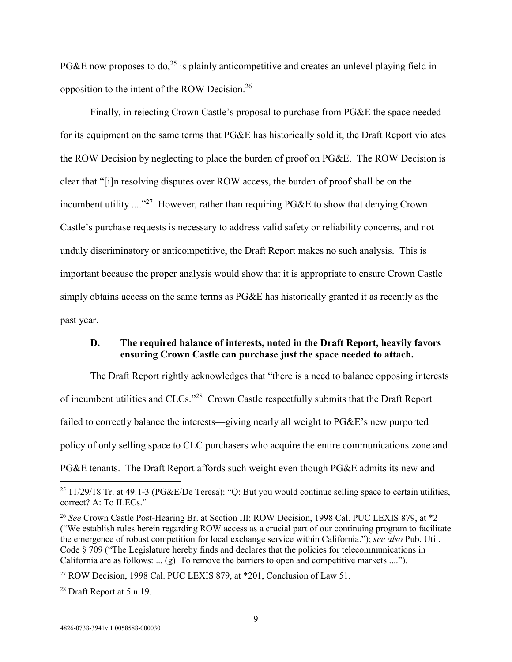PG&E now proposes to do,<sup>25</sup> is plainly anticompetitive and creates an unlevel playing field in opposition to the intent of the ROW Decision.<sup>26</sup>

Finally, in rejecting Crown Castle's proposal to purchase from PG&E the space needed for its equipment on the same terms that PG&E has historically sold it, the Draft Report violates the ROW Decision by neglecting to place the burden of proof on PG&E. The ROW Decision is clear that "[i]n resolving disputes over ROW access, the burden of proof shall be on the incumbent utility  $\ldots$ <sup>27</sup> However, rather than requiring PG&E to show that denying Crown Castle's purchase requests is necessary to address valid safety or reliability concerns, and not unduly discriminatory or anticompetitive, the Draft Report makes no such analysis. This is important because the proper analysis would show that it is appropriate to ensure Crown Castle simply obtains access on the same terms as PG&E has historically granted it as recently as the past year.

#### **D. The required balance of interests, noted in the Draft Report, heavily favors ensuring Crown Castle can purchase just the space needed to attach.**

The Draft Report rightly acknowledges that "there is a need to balance opposing interests of incumbent utilities and CLCs."<sup>28</sup> Crown Castle respectfully submits that the Draft Report failed to correctly balance the interests—giving nearly all weight to PG&E's new purported policy of only selling space to CLC purchasers who acquire the entire communications zone and PG&E tenants. The Draft Report affords such weight even though PG&E admits its new and

<sup>&</sup>lt;sup>25</sup> 11/29/18 Tr. at 49:1-3 (PG&E/De Teresa): "Q: But you would continue selling space to certain utilities, correct? A: To ILECs."

<sup>26</sup> *See* Crown Castle Post-Hearing Br. at Section III; ROW Decision, 1998 Cal. PUC LEXIS 879, at \*2 ("We establish rules herein regarding ROW access as a crucial part of our continuing program to facilitate the emergence of robust competition for local exchange service within California."); *see also* Pub. Util. Code § 709 ("The Legislature hereby finds and declares that the policies for telecommunications in California are as follows: ...  $(g)$  To remove the barriers to open and competitive markets ....").

<sup>&</sup>lt;sup>27</sup> ROW Decision, 1998 Cal. PUC LEXIS 879, at \*201, Conclusion of Law 51.

<sup>28</sup> Draft Report at 5 n.19.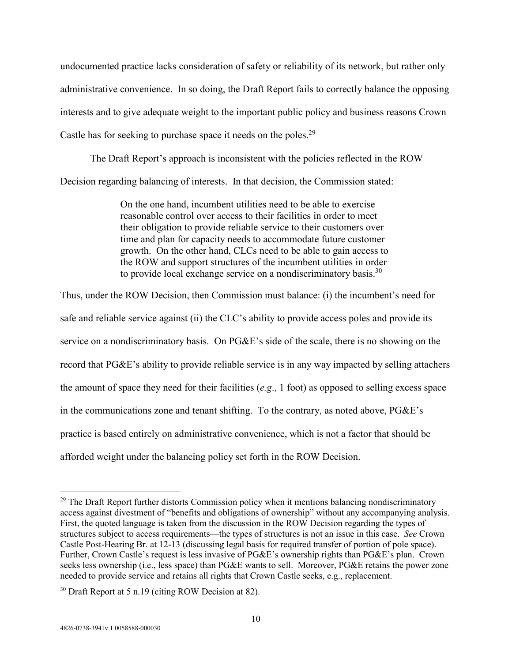undocumented practice lacks consideration of safety or reliability of its network, but rather only administrative convenience. In so doing, the Draft Report fails to correctly balance the opposing interests and to give adequate weight to the important public policy and business reasons Crown Castle has for seeking to purchase space it needs on the poles.<sup>29</sup>

The Draft Report's approach is inconsistent with the policies reflected in the ROW Decision regarding balancing of interests. In that decision, the Commission stated:

> On the one hand, incumbent utilities need to be able to exercise reasonable control over access to their facilities in order to meet their obligation to provide reliable service to their customers over time and plan for capacity needs to accommodate future customer growth. On the other hand, CLCs need to be able to gain access to the ROW and support structures of the incumbent utilities in order to provide local exchange service on a nondiscriminatory basis.<sup>30</sup>

Thus, under the ROW Decision, then Commission must balance: (i) the incumbent's need for safe and reliable service against (ii) the CLC's ability to provide access poles and provide its service on a nondiscriminatory basis. On PG&E's side of the scale, there is no showing on the record that PG&E's ability to provide reliable service is in any way impacted by selling attachers the amount of space they need for their facilities (*e.g*., 1 foot) as opposed to selling excess space in the communications zone and tenant shifting. To the contrary, as noted above, PG&E's practice is based entirely on administrative convenience, which is not a factor that should be afforded weight under the balancing policy set forth in the ROW Decision.

 $29$  The Draft Report further distorts Commission policy when it mentions balancing nondiscriminatory access against divestment of "benefits and obligations of ownership" without any accompanying analysis. First, the quoted language is taken from the discussion in the ROW Decision regarding the types of structures subject to access requirements—the types of structures is not an issue in this case. *See* Crown Castle Post-Hearing Br. at 12-13 (discussing legal basis for required transfer of portion of pole space). Further, Crown Castle's request is less invasive of PG&E's ownership rights than PG&E's plan. Crown seeks less ownership (i.e., less space) than PG&E wants to sell. Moreover, PG&E retains the power zone needed to provide service and retains all rights that Crown Castle seeks, e.g., replacement.

 $30$  Draft Report at 5 n.19 (citing ROW Decision at 82).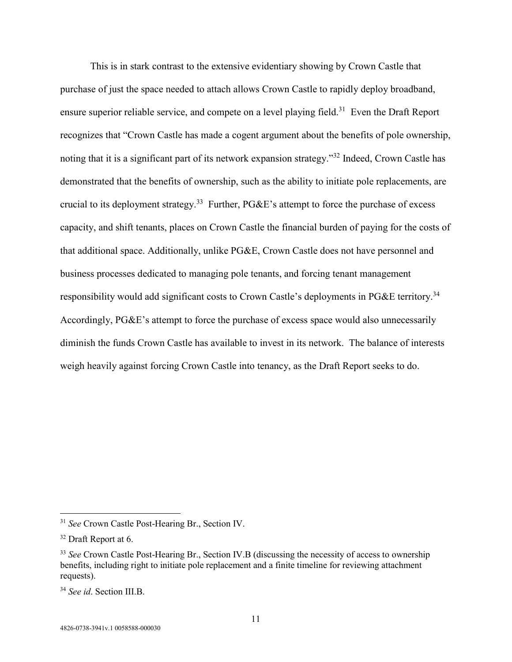This is in stark contrast to the extensive evidentiary showing by Crown Castle that purchase of just the space needed to attach allows Crown Castle to rapidly deploy broadband, ensure superior reliable service, and compete on a level playing field.<sup>31</sup> Even the Draft Report recognizes that "Crown Castle has made a cogent argument about the benefits of pole ownership, noting that it is a significant part of its network expansion strategy."<sup>32</sup> Indeed, Crown Castle has demonstrated that the benefits of ownership, such as the ability to initiate pole replacements, are crucial to its deployment strategy.<sup>33</sup> Further, PG&E's attempt to force the purchase of excess capacity, and shift tenants, places on Crown Castle the financial burden of paying for the costs of that additional space. Additionally, unlike PG&E, Crown Castle does not have personnel and business processes dedicated to managing pole tenants, and forcing tenant management responsibility would add significant costs to Crown Castle's deployments in PG&E territory.<sup>34</sup> Accordingly, PG&E's attempt to force the purchase of excess space would also unnecessarily diminish the funds Crown Castle has available to invest in its network. The balance of interests weigh heavily against forcing Crown Castle into tenancy, as the Draft Report seeks to do.

<sup>31</sup> *See* Crown Castle Post-Hearing Br., Section IV.

<sup>32</sup> Draft Report at 6.

<sup>&</sup>lt;sup>33</sup> *See* Crown Castle Post-Hearing Br., Section IV.B (discussing the necessity of access to ownership benefits, including right to initiate pole replacement and a finite timeline for reviewing attachment requests).

<sup>34</sup> *See id*. Section III.B.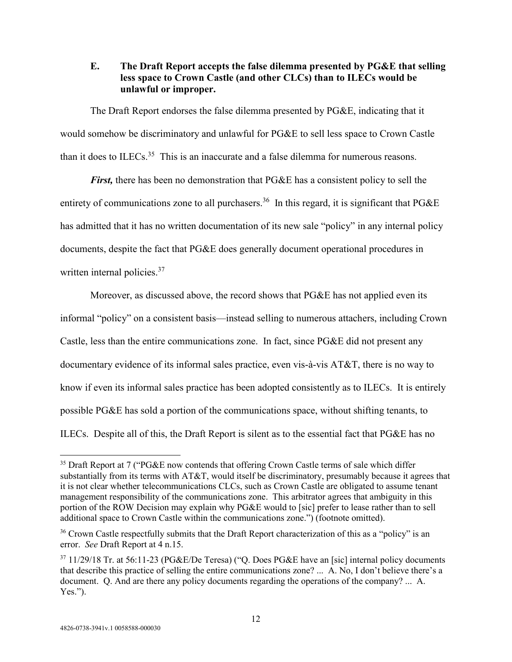### **E. The Draft Report accepts the false dilemma presented by PG&E that selling less space to Crown Castle (and other CLCs) than to ILECs would be unlawful or improper.**

The Draft Report endorses the false dilemma presented by PG&E, indicating that it would somehow be discriminatory and unlawful for PG&E to sell less space to Crown Castle than it does to ILECs.<sup>35</sup> This is an inaccurate and a false dilemma for numerous reasons.

*First,* there has been no demonstration that PG&E has a consistent policy to sell the entirety of communications zone to all purchasers.<sup>36</sup> In this regard, it is significant that PG&E has admitted that it has no written documentation of its new sale "policy" in any internal policy documents, despite the fact that PG&E does generally document operational procedures in written internal policies.<sup>37</sup>

Moreover, as discussed above, the record shows that PG&E has not applied even its informal "policy" on a consistent basis—instead selling to numerous attachers, including Crown Castle, less than the entire communications zone. In fact, since PG&E did not present any documentary evidence of its informal sales practice, even vis-à-vis AT&T, there is no way to know if even its informal sales practice has been adopted consistently as to ILECs. It is entirely possible PG&E has sold a portion of the communications space, without shifting tenants, to ILECs. Despite all of this, the Draft Report is silent as to the essential fact that PG&E has no

<sup>&</sup>lt;sup>35</sup> Draft Report at 7 ("PG&E now contends that offering Crown Castle terms of sale which differ substantially from its terms with AT&T, would itself be discriminatory, presumably because it agrees that it is not clear whether telecommunications CLCs, such as Crown Castle are obligated to assume tenant management responsibility of the communications zone. This arbitrator agrees that ambiguity in this portion of the ROW Decision may explain why PG&E would to [sic] prefer to lease rather than to sell additional space to Crown Castle within the communications zone.") (footnote omitted).

<sup>&</sup>lt;sup>36</sup> Crown Castle respectfully submits that the Draft Report characterization of this as a "policy" is an error. *See* Draft Report at 4 n.15.

<sup>&</sup>lt;sup>37</sup> 11/29/18 Tr. at 56:11-23 (PG&E/De Teresa) ("Q. Does PG&E have an [sic] internal policy documents that describe this practice of selling the entire communications zone? ... A. No, I don't believe there's a document. Q. And are there any policy documents regarding the operations of the company? ... A. Yes.").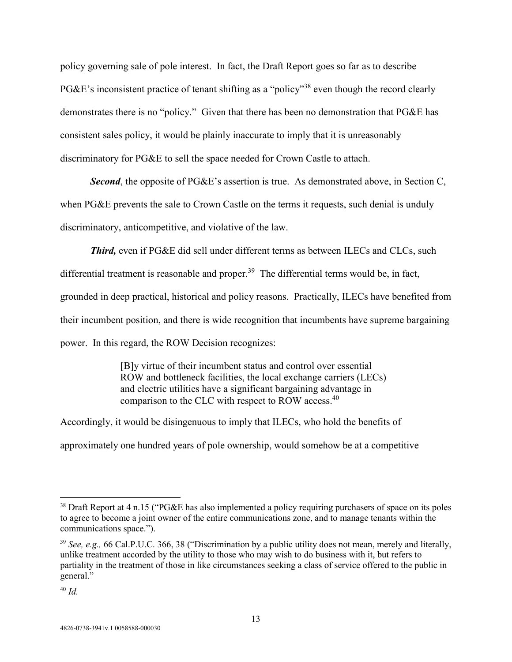policy governing sale of pole interest. In fact, the Draft Report goes so far as to describe PG&E's inconsistent practice of tenant shifting as a "policy"<sup>38</sup> even though the record clearly demonstrates there is no "policy." Given that there has been no demonstration that PG&E has consistent sales policy, it would be plainly inaccurate to imply that it is unreasonably discriminatory for PG&E to sell the space needed for Crown Castle to attach.

*Second*, the opposite of PG&E's assertion is true. As demonstrated above, in Section C, when PG&E prevents the sale to Crown Castle on the terms it requests, such denial is unduly discriminatory, anticompetitive, and violative of the law.

*Third,* even if PG&E did sell under different terms as between ILECs and CLCs, such

differential treatment is reasonable and proper.<sup>39</sup> The differential terms would be, in fact,

grounded in deep practical, historical and policy reasons. Practically, ILECs have benefited from

their incumbent position, and there is wide recognition that incumbents have supreme bargaining

power. In this regard, the ROW Decision recognizes:

[B]y virtue of their incumbent status and control over essential ROW and bottleneck facilities, the local exchange carriers (LECs) and electric utilities have a significant bargaining advantage in comparison to the CLC with respect to ROW access.<sup>40</sup>

Accordingly, it would be disingenuous to imply that ILECs, who hold the benefits of approximately one hundred years of pole ownership, would somehow be at a competitive

<sup>40</sup> *Id.*

<sup>&</sup>lt;sup>38</sup> Draft Report at 4 n.15 ("PG&E has also implemented a policy requiring purchasers of space on its poles to agree to become a joint owner of the entire communications zone, and to manage tenants within the communications space.").

<sup>39</sup> *See, e.g.,* 66 Cal.P.U.C. 366, 38 ("Discrimination by a public utility does not mean, merely and literally, unlike treatment accorded by the utility to those who may wish to do business with it, but refers to partiality in the treatment of those in like circumstances seeking a class of service offered to the public in general."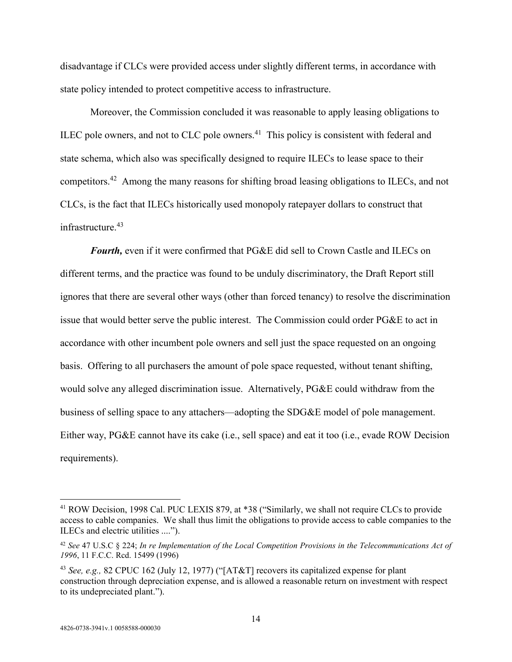disadvantage if CLCs were provided access under slightly different terms, in accordance with state policy intended to protect competitive access to infrastructure.

Moreover, the Commission concluded it was reasonable to apply leasing obligations to ILEC pole owners, and not to CLC pole owners.<sup>41</sup> This policy is consistent with federal and state schema, which also was specifically designed to require ILECs to lease space to their competitors.<sup>42</sup> Among the many reasons for shifting broad leasing obligations to ILECs, and not CLCs, is the fact that ILECs historically used monopoly ratepayer dollars to construct that infrastructure.<sup>43</sup>

*Fourth,* even if it were confirmed that PG&E did sell to Crown Castle and ILECs on different terms, and the practice was found to be unduly discriminatory, the Draft Report still ignores that there are several other ways (other than forced tenancy) to resolve the discrimination issue that would better serve the public interest. The Commission could order PG&E to act in accordance with other incumbent pole owners and sell just the space requested on an ongoing basis. Offering to all purchasers the amount of pole space requested, without tenant shifting, would solve any alleged discrimination issue. Alternatively, PG&E could withdraw from the business of selling space to any attachers—adopting the SDG&E model of pole management. Either way, PG&E cannot have its cake (i.e., sell space) and eat it too (i.e., evade ROW Decision requirements).

<sup>41</sup> ROW Decision, 1998 Cal. PUC LEXIS 879, at \*38 ("Similarly, we shall not require CLCs to provide access to cable companies. We shall thus limit the obligations to provide access to cable companies to the ILECs and electric utilities ....").

<sup>42</sup> *See* 47 U.S.C § 224; *In re Implementation of the Local Competition Provisions in the Telecommunications Act of 1996*, 11 F.C.C. Rcd. 15499 (1996)

<sup>43</sup> *See, e.g.,* 82 CPUC 162 (July 12, 1977) ("[AT&T] recovers its capitalized expense for plant construction through depreciation expense, and is allowed a reasonable return on investment with respect to its undepreciated plant.").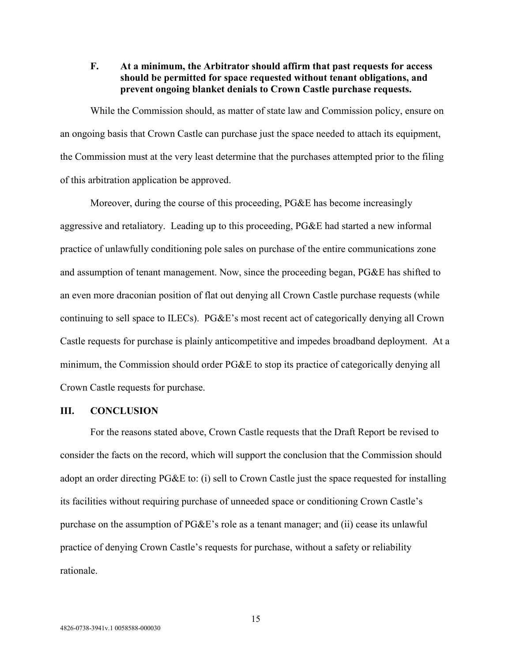### **F. At a minimum, the Arbitrator should affirm that past requests for access should be permitted for space requested without tenant obligations, and prevent ongoing blanket denials to Crown Castle purchase requests.**

While the Commission should, as matter of state law and Commission policy, ensure on an ongoing basis that Crown Castle can purchase just the space needed to attach its equipment, the Commission must at the very least determine that the purchases attempted prior to the filing of this arbitration application be approved.

Moreover, during the course of this proceeding, PG&E has become increasingly aggressive and retaliatory. Leading up to this proceeding, PG&E had started a new informal practice of unlawfully conditioning pole sales on purchase of the entire communications zone and assumption of tenant management. Now, since the proceeding began, PG&E has shifted to an even more draconian position of flat out denying all Crown Castle purchase requests (while continuing to sell space to ILECs). PG&E's most recent act of categorically denying all Crown Castle requests for purchase is plainly anticompetitive and impedes broadband deployment. At a minimum, the Commission should order PG&E to stop its practice of categorically denying all Crown Castle requests for purchase.

#### **III. CONCLUSION**

For the reasons stated above, Crown Castle requests that the Draft Report be revised to consider the facts on the record, which will support the conclusion that the Commission should adopt an order directing PG&E to: (i) sell to Crown Castle just the space requested for installing its facilities without requiring purchase of unneeded space or conditioning Crown Castle's purchase on the assumption of PG&E's role as a tenant manager; and (ii) cease its unlawful practice of denying Crown Castle's requests for purchase, without a safety or reliability rationale.

15